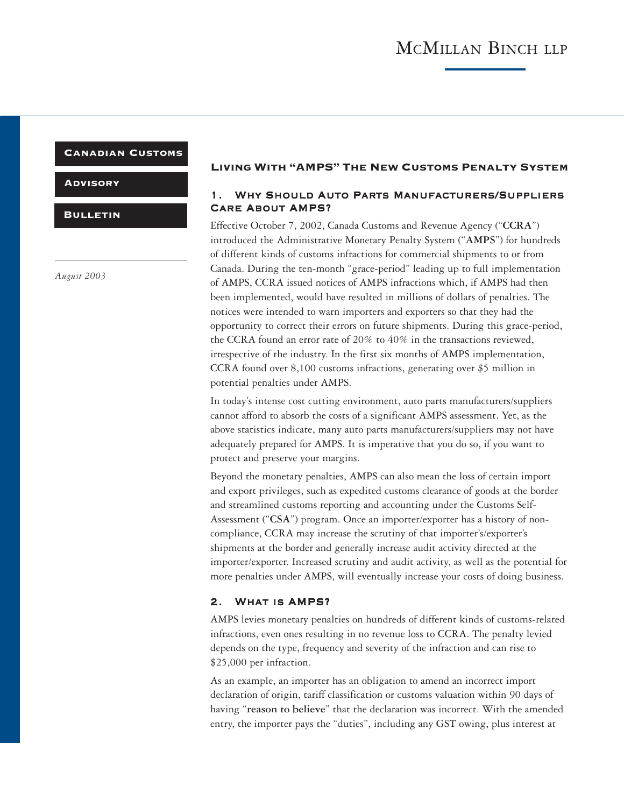## Canadian Customs

**ADVISORY** 

**BULLETIN** 

*August 2003*

### Living With "AMPS" The New Customs Penalty System

## 1. Why Should Auto Parts Manufacturers/Suppliers Care About AMPS?

Effective October 7, 2002, Canada Customs and Revenue Agency ("**CCRA**") introduced the Administrative Monetary Penalty System ("**AMPS**") for hundreds of different kinds of customs infractions for commercial shipments to or from Canada. During the ten-month "grace-period" leading up to full implementation of AMPS, CCRA issued notices of AMPS infractions which, if AMPS had then been implemented, would have resulted in millions of dollars of penalties. The notices were intended to warn importers and exporters so that they had the opportunity to correct their errors on future shipments. During this grace-period, the CCRA found an error rate of 20% to 40% in the transactions reviewed, irrespective of the industry. In the first six months of AMPS implementation, CCRA found over 8,100 customs infractions, generating over \$5 million in potential penalties under AMPS.

In today's intense cost cutting environment, auto parts manufacturers/suppliers cannot afford to absorb the costs of a significant AMPS assessment. Yet, as the above statistics indicate, many auto parts manufacturers/suppliers may not have adequately prepared for AMPS. It is imperative that you do so, if you want to protect and preserve your margins.

Beyond the monetary penalties, AMPS can also mean the loss of certain import and export privileges, such as expedited customs clearance of goods at the border and streamlined customs reporting and accounting under the Customs Self-Assessment ("**CSA**") program. Once an importer/exporter has a history of noncompliance, CCRA may increase the scrutiny of that importer's/exporter's shipments at the border and generally increase audit activity directed at the importer/exporter. Increased scrutiny and audit activity, as well as the potential for more penalties under AMPS, will eventually increase your costs of doing business.

### 2. What is AMPS?

AMPS levies monetary penalties on hundreds of different kinds of customs-related infractions, even ones resulting in no revenue loss to CCRA. The penalty levied depends on the type, frequency and severity of the infraction and can rise to \$25,000 per infraction.

As an example, an importer has an obligation to amend an incorrect import declaration of origin, tariff classification or customs valuation within 90 days of having "**reason to believe**" that the declaration was incorrect. With the amended entry, the importer pays the "duties", including any GST owing, plus interest at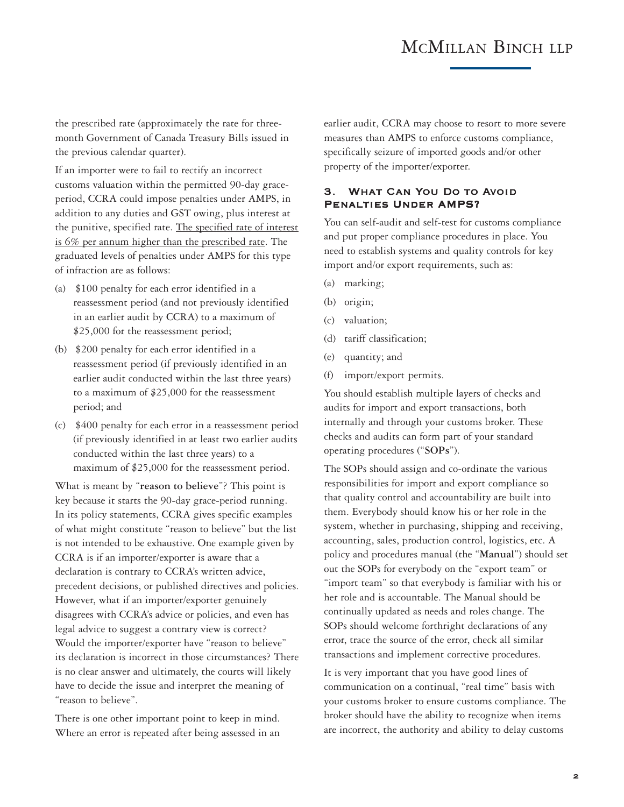# MCMILLAN BINCH LLP

the prescribed rate (approximately the rate for threemonth Government of Canada Treasury Bills issued in the previous calendar quarter).

If an importer were to fail to rectify an incorrect customs valuation within the permitted 90-day graceperiod, CCRA could impose penalties under AMPS, in addition to any duties and GST owing, plus interest at the punitive, specified rate. The specified rate of interest is 6% per annum higher than the prescribed rate. The graduated levels of penalties under AMPS for this type of infraction are as follows:

- (a) \$100 penalty for each error identified in a reassessment period (and not previously identified in an earlier audit by CCRA) to a maximum of \$25,000 for the reassessment period;
- (b) \$200 penalty for each error identified in a reassessment period (if previously identified in an earlier audit conducted within the last three years) to a maximum of \$25,000 for the reassessment period; and
- (c) \$400 penalty for each error in a reassessment period (if previously identified in at least two earlier audits conducted within the last three years) to a maximum of \$25,000 for the reassessment period.

What is meant by "**reason to believe**"? This point is key because it starts the 90-day grace-period running. In its policy statements, CCRA gives specific examples of what might constitute "reason to believe" but the list is not intended to be exhaustive. One example given by CCRA is if an importer/exporter is aware that a declaration is contrary to CCRA's written advice, precedent decisions, or published directives and policies. However, what if an importer/exporter genuinely disagrees with CCRA's advice or policies, and even has legal advice to suggest a contrary view is correct? Would the importer/exporter have "reason to believe" its declaration is incorrect in those circumstances? There is no clear answer and ultimately, the courts will likely have to decide the issue and interpret the meaning of "reason to believe".

There is one other important point to keep in mind. Where an error is repeated after being assessed in an

earlier audit, CCRA may choose to resort to more severe measures than AMPS to enforce customs compliance, specifically seizure of imported goods and/or other property of the importer/exporter.

## 3. What Can You Do to Avoid Penalties Under AMPS?

You can self-audit and self-test for customs compliance and put proper compliance procedures in place. You need to establish systems and quality controls for key import and/or export requirements, such as:

- (a) marking;
- (b) origin;
- (c) valuation;
- (d) tariff classification;
- (e) quantity; and
- (f) import/export permits.

You should establish multiple layers of checks and audits for import and export transactions, both internally and through your customs broker. These checks and audits can form part of your standard operating procedures ("**SOPs**").

The SOPs should assign and co-ordinate the various responsibilities for import and export compliance so that quality control and accountability are built into them. Everybody should know his or her role in the system, whether in purchasing, shipping and receiving, accounting, sales, production control, logistics, etc. A policy and procedures manual (the "**Manual**") should set out the SOPs for everybody on the "export team" or "import team" so that everybody is familiar with his or her role and is accountable. The Manual should be continually updated as needs and roles change. The SOPs should welcome forthright declarations of any error, trace the source of the error, check all similar transactions and implement corrective procedures.

It is very important that you have good lines of communication on a continual, "real time" basis with your customs broker to ensure customs compliance. The broker should have the ability to recognize when items are incorrect, the authority and ability to delay customs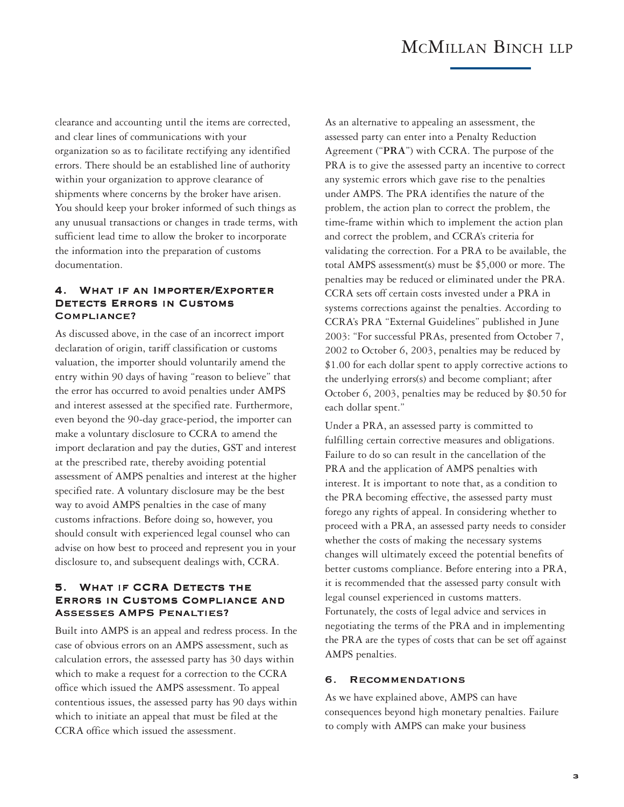## MCMILLAN BINCH LLP

clearance and accounting until the items are corrected, and clear lines of communications with your organization so as to facilitate rectifying any identified errors. There should be an established line of authority within your organization to approve clearance of shipments where concerns by the broker have arisen. You should keep your broker informed of such things as any unusual transactions or changes in trade terms, with sufficient lead time to allow the broker to incorporate the information into the preparation of customs documentation.

## 4. What if an Importer/Exporter DETECTS ERRORS IN CUSTOMS Compliance?

As discussed above, in the case of an incorrect import declaration of origin, tariff classification or customs valuation, the importer should voluntarily amend the entry within 90 days of having "reason to believe" that the error has occurred to avoid penalties under AMPS and interest assessed at the specified rate. Furthermore, even beyond the 90-day grace-period, the importer can make a voluntary disclosure to CCRA to amend the import declaration and pay the duties, GST and interest at the prescribed rate, thereby avoiding potential assessment of AMPS penalties and interest at the higher specified rate. A voluntary disclosure may be the best way to avoid AMPS penalties in the case of many customs infractions. Before doing so, however, you should consult with experienced legal counsel who can advise on how best to proceed and represent you in your disclosure to, and subsequent dealings with, CCRA.

### 5. What if CCRA Detects the Errors in Customs Compliance and Assesses AMPS Penalties?

Built into AMPS is an appeal and redress process. In the case of obvious errors on an AMPS assessment, such as calculation errors, the assessed party has 30 days within which to make a request for a correction to the CCRA office which issued the AMPS assessment. To appeal contentious issues, the assessed party has 90 days within which to initiate an appeal that must be filed at the CCRA office which issued the assessment.

As an alternative to appealing an assessment, the assessed party can enter into a Penalty Reduction Agreement ("**PRA**") with CCRA. The purpose of the PRA is to give the assessed party an incentive to correct any systemic errors which gave rise to the penalties under AMPS. The PRA identifies the nature of the problem, the action plan to correct the problem, the time-frame within which to implement the action plan and correct the problem, and CCRA's criteria for validating the correction. For a PRA to be available, the total AMPS assessment(s) must be \$5,000 or more. The penalties may be reduced or eliminated under the PRA. CCRA sets off certain costs invested under a PRA in systems corrections against the penalties. According to CCRA's PRA "External Guidelines" published in June 2003: "For successful PRAs, presented from October 7, 2002 to October 6, 2003, penalties may be reduced by \$1.00 for each dollar spent to apply corrective actions to the underlying errors(s) and become compliant; after October 6, 2003, penalties may be reduced by \$0.50 for each dollar spent."

Under a PRA, an assessed party is committed to fulfilling certain corrective measures and obligations. Failure to do so can result in the cancellation of the PRA and the application of AMPS penalties with interest. It is important to note that, as a condition to the PRA becoming effective, the assessed party must forego any rights of appeal. In considering whether to proceed with a PRA, an assessed party needs to consider whether the costs of making the necessary systems changes will ultimately exceed the potential benefits of better customs compliance. Before entering into a PRA, it is recommended that the assessed party consult with legal counsel experienced in customs matters. Fortunately, the costs of legal advice and services in negotiating the terms of the PRA and in implementing the PRA are the types of costs that can be set off against AMPS penalties.

### 6. Recommendations

As we have explained above, AMPS can have consequences beyond high monetary penalties. Failure to comply with AMPS can make your business